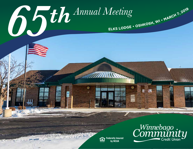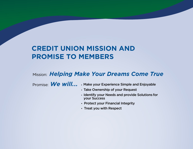## **CREDIT UNION MISSION AND PROMISE TO MEMBERS**

## Mission: *Helping Make Your Dreams Come True*

Promise: **We will...** . Make your Experience Simple and Enjoyable

- Take Ownership of your Request
- Identify your Needs and provide Solutions for your Success
- Protect your Financial Integrity
- Treat you with Respect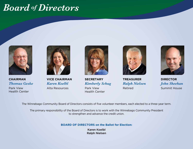## *Board of Directors*



**CHAIRMAN** *Thomas Geske*

Park View Health Center



**VICE CHAIRMAN** *Karen Koelbl* Alta Resources



**SECRETARY** *Kimberly Schug* Park View

Health Center



**TREASURER** *Ralph Nielsen* Retired



**DIRECTOR** *John Sheehan* Summit House

The Winnebago Community Board of Directors consists of five volunteer members, each elected to a three-year term.

The primary responsibility of the Board of Directors is to work with the Winnebago Community President to strengthen and advance the credit union.

#### **BOARD OF DIRECTORS on the Ballot for Election:**

Karen Koelbl Ralph Nielsen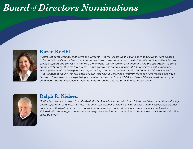## *Board of Directors Nominations*



#### **Karen Koelbl**

*"I have just completed my sixth term as a Director with the Credit Union serving as Vice Chairman. I am pleased to be part of the Director team that contributes towards the continuous growth, integrity and innovative ideas to provide support and services to the WCCU members. Prior to serving as a director, I had the opportunity to serve on the credit committee for three years. I am currently a Program Manager at Alta Resources with experience as a Supervisor with a Managed Care Organization, prior to that a Director with Lutheran Social Services and with Winnebago County for 15.5 years at Park View Health Center as a Program Manager. I am married and have two sons. It has been a privilege being a member of the board since 2000 and I would like to thank you for your continued support in advance as I look forward to serving another term with our credit union."*



#### **Ralph R. Nielsen**

*"Retired guidance counselor from Oshkosh Public Schools. Married with four children and five step children. County board supervisor for 18 years. Six years as chairman. Former president of UW-Oshkosh alumni association. Former president of Oshkosh senior center board. Longtime member of credit union. My memory goes back to Jean Kolodzik who encouraged me to make two payments each month on my loan to reduce the total interest paid. That impressed me."*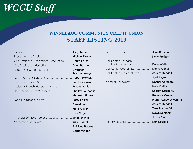# *WCCU Staff*

### **WINNEBAGO COMMUNITY CREDIT UNION STAFF LISTING 2019**

| Vice President - Operations/Accounting Debra Fernau |                       |
|-----------------------------------------------------|-----------------------|
|                                                     |                       |
|                                                     |                       |
|                                                     | Pommerening           |
|                                                     |                       |
|                                                     |                       |
| Assistant Branch Manager - Neenah  Tracey Gonia     |                       |
|                                                     |                       |
|                                                     | MaryAnn Huszar        |
|                                                     |                       |
|                                                     | <b>Daniel Ives</b>    |
|                                                     | <b>Marci Oliver</b>   |
|                                                     | <b>Nick Vogel</b>     |
|                                                     |                       |
|                                                     |                       |
|                                                     | <b>Rainboe Reeves</b> |
|                                                     | <b>Carrie Walter</b>  |

|                                                   | <b>Kelly Freiberg</b>         |
|---------------------------------------------------|-------------------------------|
| Call Center Manager/                              | Dana Watts                    |
|                                                   |                               |
| Call Center Representative <b>Jessica Kendall</b> |                               |
|                                                   | Judi Payton                   |
|                                                   |                               |
|                                                   | <b>Kate Collins</b>           |
|                                                   | <b>Sharon Docherty</b>        |
|                                                   | Rebecca Grebe                 |
|                                                   | <b>Muriel Kelley-Wiechman</b> |
|                                                   | Jessica Kendall               |
|                                                   | Tena Manteufel                |
|                                                   | Dawn Schrank                  |
|                                                   | <b>Justin Smith</b>           |
|                                                   | <b>Ron Roebke</b>             |

Loan Processor................................................Amy Karkula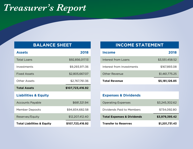## *Treasurer's Report*

#### **BALANCE SHEET**

| <b>Assets</b>                   | 2018             |
|---------------------------------|------------------|
| <b>Total Loans</b>              | \$92,856,017.13  |
| Investments                     | \$9,293,971.36   |
| <b>Fixed Assets</b>             | \$2,805,667.07   |
| <b>Other Assets</b>             | \$2,767,761.36   |
|                                 |                  |
| <b>Total Assets</b>             | \$107,723,416.92 |
| <b>Liabilities &amp; Equity</b> |                  |
| <b>Accounts Payable</b>         | \$681,321.94     |
| Member Deposits                 | \$94,834,682.58  |
| Reserves/Equity                 | \$12,207,412.40  |

#### **INCOME STATEMENT**

| <b>Total Revenue</b>      | \$5,181,126.85 |
|---------------------------|----------------|
| <b>Other Revenue</b>      | \$1,461,775.25 |
| Interest from Investments | \$167,893.08   |
| Interest from Loans       | \$3,551,458.52 |
| <b>Income</b>             | 2018           |

#### **Expenses & Dividends**

| <b>Operating Expenses</b>             | \$3,245,302.62 |
|---------------------------------------|----------------|
| Dividends Paid to Members             | \$734,092.80   |
|                                       |                |
| <b>Total Expenses &amp; Dividends</b> | \$3,979,395.42 |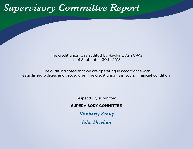# *Supervisory Committee Report*

The credit union was audited by Hawkins, Ash CPAs as of September 30th, 2018.

The audit indicated that we are operating in accordance with established policies and procedures. The credit union is in sound financial condition.

Respectfully submitted,

#### **SUPERVISORY COMMITTEE**

*Kimberly Schug*

*John Sheehan*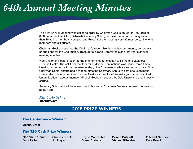# *64th Annual Meeting Minutes*

The 64th Annual Meeting was called to order by Chairman Geske on March 1st, 2018 at 6:00 pm at the Elks Club, Oshkosh. Secretary Schug certified that a quorum of greater than 15 voting members were present. Present at the meeting were 86 members, nine joint members and six guests.

Chairman Geske presented the Chairman's report. He then invited comments, corrections or additions for the Chairman's, Treasurer's, Credit Committee's and last year's annual meeting minutes.

Vice Chairman Koelbl presented the one nominee for election to fill the one vacancy; Thomas Geske. The call from the floor for additional nominations was issued three times. Hearing no response from the membership, Vice Chairman Koelbl closed nominations. Vice Chairman Koelbl entertained a motion directing Secretary Schug to cast one unanimous vote to elect the one nominee Thomas Geske as Director of Winnebago Community Credit Union. Motion made by member Mitchell Gebheim, second by Dale Drake and unanimously carried.

Secretary Schug stated there was no old business. Chairman Geske adjourned the meeting at 6:07 pm.

*Kimberly Schug* **SECRETARY**

#### **2018 PRIZE WINNERS**

#### **The Centerpiece Winner:**

JoAnn Drake

#### **The \$20 Cash Prize Winners:**

Marlene Krueger Gary Hobart

Charles Butzlaff Jill Meyer

Kaylie Manteufel Diane Cudahy

Donna Butzlaff Vivian Mittelstaedt Mitchell Gebheim Dale Brazil